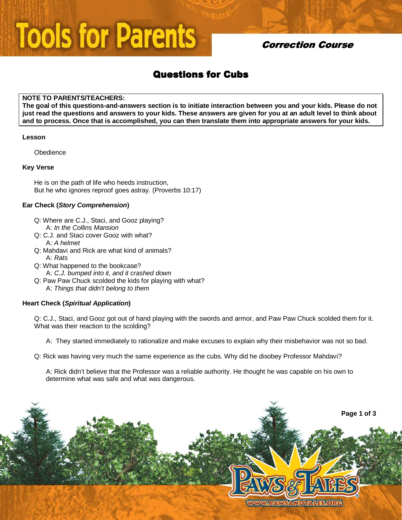# **Tools for Parents**

## **Correction Course**

# **Questions for Cubs**

#### **NOTE TO PARENTS/TEACHERS:**

**The goal of this questions-and-answers section is to initiate interaction between you and your kids. Please do not just read the questions and answers to your kids. These answers are given for you at an adult level to think about and to process. Once that is accomplished, you can then translate them into appropriate answers for your kids.** 

#### **Lesson**

**Obedience** 

#### **Key Verse**

He is on the path of life who heeds instruction, But he who ignores reproof goes astray. (Proverbs 10:17)

#### **Ear Check (Story Comprehension)**

- Q: Where are C.J., Staci, and Gooz playing? A: In the Collins Mansion
- Q: C.J. and Staci cover Gooz with what? A: A helmet
- Q: Mahdavi and Rick are what kind of animals? A: Rats
- Q: What happened to the bookcase? A: C.J. bumped into it, and it crashed down
- Q: Paw Paw Chuck scolded the kids for playing with what? A: Things that didn't belong to them

#### **Heart Check (Spiritual Application)**

Q: C.J., Staci, and Gooz got out of hand playing with the swords and armor, and Paw Paw Chuck scolded them for it. What was their reaction to the scolding?

A: They started immediately to rationalize and make excuses to explain why their misbehavior was not so bad.

Q: Rick was having very much the same experience as the cubs. Why did he disobey Professor Mahdavi?

 A: Rick didn't believe that the Professor was a reliable authority. He thought he was capable on his own to determine what was safe and what was dangerous.

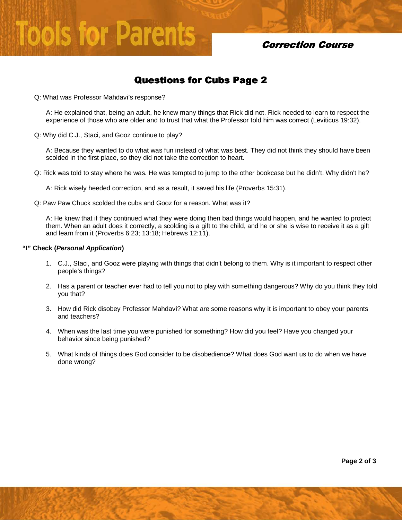# **Tools for Parents**

## **Correction Course**

## Questions for Cubs Page 2

Q: What was Professor Mahdavi's response?

 A: He explained that, being an adult, he knew many things that Rick did not. Rick needed to learn to respect the experience of those who are older and to trust that what the Professor told him was correct (Leviticus 19:32).

Q: Why did C.J., Staci, and Gooz continue to play?

 A: Because they wanted to do what was fun instead of what was best. They did not think they should have been scolded in the first place, so they did not take the correction to heart.

Q: Rick was told to stay where he was. He was tempted to jump to the other bookcase but he didn't. Why didn't he?

A: Rick wisely heeded correction, and as a result, it saved his life (Proverbs 15:31).

Q: Paw Paw Chuck scolded the cubs and Gooz for a reason. What was it?

A: He knew that if they continued what they were doing then bad things would happen, and he wanted to protect them. When an adult does it correctly, a scolding is a gift to the child, and he or she is wise to receive it as a gift and learn from it (Proverbs 6:23; 13:18; Hebrews 12:11).

#### **"I" Check (Personal Application)**

- 1. C.J., Staci, and Gooz were playing with things that didn't belong to them. Why is it important to respect other people's things?
- 2. Has a parent or teacher ever had to tell you not to play with something dangerous? Why do you think they told you that?
- 3. How did Rick disobey Professor Mahdavi? What are some reasons why it is important to obey your parents and teachers?
- 4. When was the last time you were punished for something? How did you feel? Have you changed your behavior since being punished?
- 5. What kinds of things does God consider to be disobedience? What does God want us to do when we have done wrong?